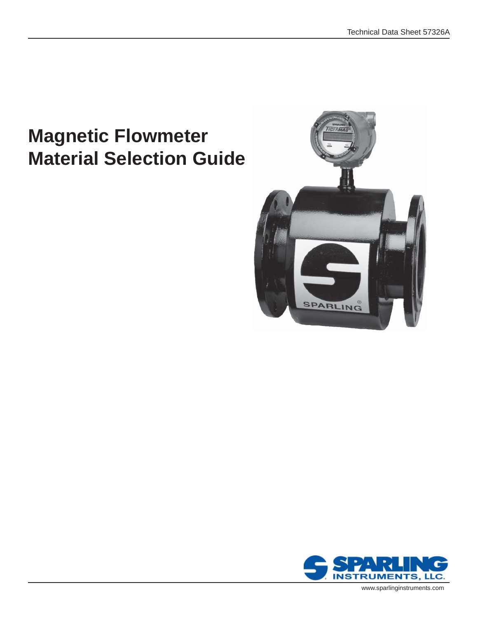## **Magnetic Flowmeter Material Selection Guide**





www.sparlinginstruments.com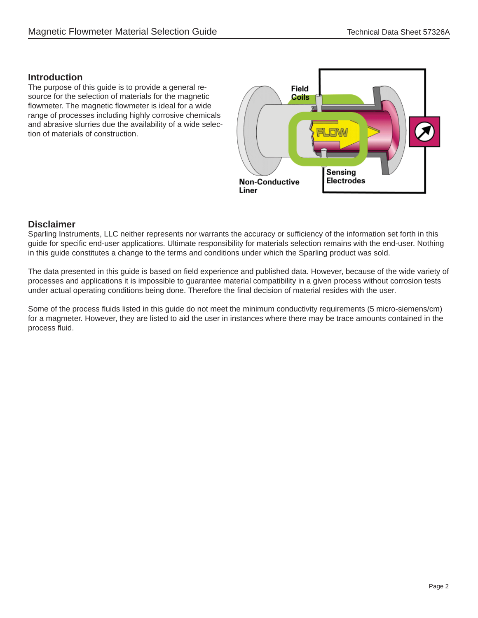## **Introduction**

The purpose of this guide is to provide a general resource for the selection of materials for the magnetic flowmeter. The magnetic flowmeter is ideal for a wide range of processes including highly corrosive chemicals and abrasive slurries due the availability of a wide selection of materials of construction.



## **Disclaimer**

Sparling Instruments, LLC neither represents nor warrants the accuracy or sufficiency of the information set forth in this guide for specific end-user applications. Ultimate responsibility for materials selection remains with the end-user. Nothing in this guide constitutes a change to the terms and conditions under which the Sparling product was sold.

The data presented in this guide is based on field experience and published data. However, because of the wide variety of processes and applications it is impossible to guarantee material compatibility in a given process without corrosion tests under actual operating conditions being done. Therefore the final decision of material resides with the user.

Some of the process fluids listed in this guide do not meet the minimum conductivity requirements (5 micro-siemens/cm) for a magmeter. However, they are listed to aid the user in instances where there may be trace amounts contained in the process fluid.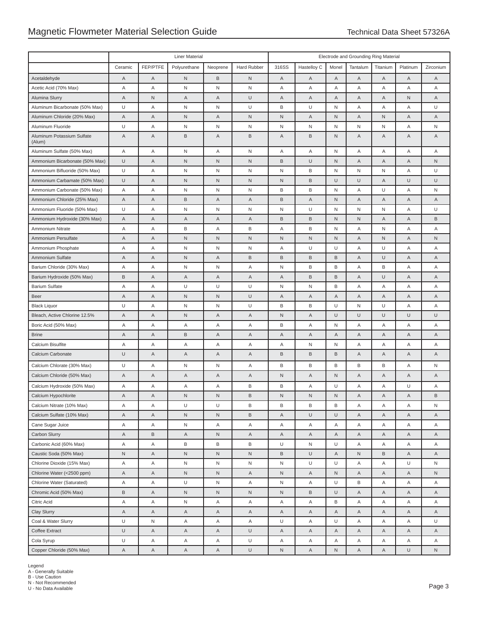|                                         | <b>Liner Material</b> |             |                     |                     |             |                   | Electrode and Grounding Ring Material |                  |                     |                  |             |                   |  |
|-----------------------------------------|-----------------------|-------------|---------------------|---------------------|-------------|-------------------|---------------------------------------|------------------|---------------------|------------------|-------------|-------------------|--|
|                                         | Ceramic               | FEP/PTFE    | Polyurethane        | Neoprene            | Hard Rubber | 316SS             | Hastelloy C                           | Monel            | Tantalum            | Titanium         | Platinum    | Zirconium         |  |
| Acetaldehyde                            | A                     | A           | $\mathsf{N}$        | B                   | $\mathsf N$ | Α                 | Α                                     | A                | A                   | A                | A           | Α                 |  |
| Acetic Acid (70% Max)                   | Α                     | Α           | N                   | N                   | N           | Α                 | Α                                     | Α                | Α                   | Α                | Α           | Α                 |  |
| Alumina Slurry                          | Α                     | $\mathsf N$ | Α                   | A                   | $\cup$      | Α                 | Α                                     | Α                | A                   | Α                | $\mathsf N$ | A                 |  |
| Aluminum Bicarbonate (50% Max)          | U                     | Α           | $\mathsf{N}$        | N                   | U           | B                 | U                                     | N                | Α                   | Α                | Α           | U                 |  |
| Aluminum Chloride (20% Max)             | Α                     | Α           | $\mathsf{N}$        | $\overline{A}$      | $\mathsf N$ | $\mathsf N$       | Α                                     | $\sf N$          | A                   | ${\sf N}$        | A           | Α                 |  |
| Aluminum Fluoride                       | U                     | Α           | N                   | N                   | N           | N                 | N                                     | N                | N                   | N                | Α           | N                 |  |
| Aluminum Potassium Sulfate<br>(Alum)    | Α                     | Α           | B                   | A                   | B           | Α                 | B                                     | N                | A                   | Α                | A           | A                 |  |
| Aluminum Sulfate (50% Max)              | Α                     | Α           | N                   | A                   | N           | Α                 | Α                                     | N                | Α                   | Α                | Α           | Α                 |  |
| Ammonium Bicarbonate (50% Max)          | U                     | Α           | ${\sf N}$           | $\mathsf N$         | $\mathsf N$ | B                 | U                                     | ${\sf N}$        | A                   | Α                | A           | N                 |  |
| Ammonium Bifluoride (50% Max)           | U                     | Α           | N                   | N                   | N           | N                 | В                                     | N                | N                   | N                | Α           | U                 |  |
| Ammonium Carbamate (50% Max)            | U                     | Α           | $\mathsf{N}$        | $\mathsf{N}$        | $\mathsf N$ | $\mathsf{N}$      | B                                     | $\cup$           | U                   | A                | $\cup$      | U                 |  |
| Ammonium Carbonate (50% Max)            | Α                     | Α           | N                   | N                   | N           | B                 | В                                     | N                | Α                   | U                | Α           | N                 |  |
| Ammonium Chloride (25% Max)             | A                     | Α           | B                   | $\overline{A}$      | A           | B                 | Α                                     | $\mathsf N$      | A                   | A                | Α           | Α                 |  |
| Ammonium Fluoride (50% Max)             | U                     | Α           | N                   | N                   | N           | N                 | U                                     | N                | N                   | N                | Α           | U                 |  |
| Ammonium Hydroxide (30% Max)            | Α                     | Α           | Α                   | $\overline{A}$      | A           | B                 | B                                     | $\mathsf N$      | $\mathsf{N}$        | Α                | A           | B                 |  |
| Ammonium Nitrate                        | Α                     | Α           | B                   | Α                   | B           | Α                 | В                                     | N                | Α                   | N                | Α           | Α                 |  |
| Ammonium Persulfate                     | Α                     | Α           | $\mathsf N$         | $\mathsf N$         | ${\sf N}$   | ${\sf N}$         | $\mathsf N$                           | ${\sf N}$        | A                   | ${\sf N}$        | A           | N                 |  |
| Ammonium Phosphate                      | Α                     | Α           | N                   | N                   | N           | Α                 | U                                     | U                | Α                   | U                | Α           | Α                 |  |
| Ammonium Sulfate                        | Α                     | Α           | $\sf N$             | $\overline{A}$      | $\sf B$     | B                 | B                                     | B                | A                   | U                | A           | Α                 |  |
| Barium Chloride (30% Max)               | Α                     | Α           | N                   | N                   | Α           | N                 | В                                     | B                | Α                   | В                | Α           | Α                 |  |
| Barium Hydroxide (50% Max)              | B                     | Α           | Α                   | $\overline{A}$      | A           | Α                 | B                                     | B                | A                   | U                | A           | Α                 |  |
| <b>Barium Sulfate</b>                   | Α                     | Α           | U                   | U                   | U           | N                 | N                                     | B                | Α                   | Α                | Α           | Α                 |  |
| <b>Beer</b>                             | Α                     | A           | $\hbox{N}$          | $\mathsf{N}$        | $\cup$      | Α                 | Α                                     | Α                | A                   | Α                | Α           | A                 |  |
| <b>Black Liquor</b>                     | U                     | Α           | N                   | $\mathsf N$         | $\cup$      | В                 | В                                     | U                | N                   | U                | Α           | Α                 |  |
| Bleach, Active Chlorine 12.5%           | Α                     | Α           | N                   | $\overline{A}$      | A           | ${\sf N}$         | Α                                     | U                | U                   | U                | U           | U                 |  |
| Boric Acid (50% Max)                    | Α                     | Α           | Α                   | Α                   | Α           | В                 | Α                                     | N                | Α                   | Α                | Α           | Α                 |  |
| <b>Brine</b>                            | A                     | Α           | B                   | $\mathsf A$         | A           | Α                 | Α                                     | Α                | A                   | Α                | Α           | A                 |  |
| Calcium Bisulfite                       | Α                     | Α           | Α                   | Α                   | Α           | Α                 | N                                     | N                | Α                   | Α                | Α           | Α                 |  |
| Calcium Carbonate                       | U                     | Α           | Α                   | $\overline{A}$      | A           | B                 | B                                     | B                | A                   | Α                | Α           | Α                 |  |
| Calcium Chlorate (30% Max)              | U                     | Α           | $\mathsf{N}$        | N                   | Α           | B                 | В                                     | В                | В                   | В                | Α           | N                 |  |
| Calcium Chloride (50% Max)              | Α                     | Α           | Α                   | $\overline{A}$      | A           | ${\sf N}$         | Α                                     | ${\sf N}$        | A                   | Α                | A           | Α                 |  |
| Calcium Hydroxide (50% Max)             | Α                     | Α           | Α                   | Α                   | B           | В                 | Α                                     | U                | Α                   | Α                | U           | Α                 |  |
| Calcium Hypochlorite                    | A                     | Α           | $\mathsf{N}$        | $\mathsf N$         | $\mathsf B$ | $\mathsf{N}$      | $\mathsf N$                           | N                | $\overline{A}$      | Α                | A           | B                 |  |
| Calcium Nitrate (10% Max)               | Α                     | Α           | U                   | U                   | В           | В                 | В                                     | В                | Α                   | Α                | Α           | N                 |  |
| Calcium Sulfate (10% Max)               | $\mathsf A$           | A           | $\hbox{N}$          | $\sf N$             | $\mathsf B$ | Α                 | U                                     | $\cup$           | $\mathsf A$         | Α                | $\mathsf A$ | A                 |  |
| Cane Sugar Juice                        | Α                     | Α           | N                   | Α                   | Α           | Α                 | Α                                     | Α                | Α                   | Α                | Α           | Α                 |  |
| Carbon Slurry                           | Α                     | $\mathsf B$ | Α                   | $\mathsf N$         | Α           | Α                 | Α                                     | Α                | A                   | Α                | Α           | Α                 |  |
| Carbonic Acid (60% Max)                 | Α                     | Α           | В                   | $\, {\sf B}$        | B           | U                 | N                                     | U                | Α                   | Α                | Α           | Α                 |  |
| Caustic Soda (50% Max)                  | $\hbox{N}$            | Α           | N                   | $\mathsf N$         | N           | B                 | U                                     | A                | ${\sf N}$           | B                | Α           | Α                 |  |
| Chlorine Dioxide (15% Max)              | Α                     | Α           | N                   | N                   | N           | N                 | U                                     | U                | Α                   | Α                | U           | N                 |  |
| Chlorine Water (<2500 ppm)              | A                     | A           | ${\sf N}$           | $\sf N$             | A           | N                 | Α                                     | N                | A                   | Α                | Α           | N                 |  |
| Chlorine Water (Saturated)              | Α                     | Α           | U                   | N                   | Α           | N                 | Α                                     | U                | В                   | Α                | Α           | Α                 |  |
| Chromic Acid (50% Max)                  | $\mathsf B$           | A           | $\hbox{N}$          | $\sf N$             | ${\sf N}$   | ${\sf N}$         | B                                     | $\cup$           | $\mathsf A$         | A                | Α           | Α                 |  |
| Citric Acid                             | Α                     | Α           | N                   | Α                   | Α           | Α                 | Α                                     | В                | Α                   | Α                | Α           | Α                 |  |
| Clay Slurry                             | Α                     | Α           | Α                   | $\mathsf{A}$        | A           | A                 | Α                                     | Α                | $\mathsf A$         | A                | Α           | A                 |  |
| Coal & Water Slurry                     | U                     | ${\sf N}$   | Α                   | Α                   | Α           | U                 | Α                                     | U                | Α                   | A                | Α           | U                 |  |
| Coffee Extract                          | U<br>U                | Α           | A                   | $\mathsf{A}$        | $\cup$      | A                 | Α                                     | Α                | A                   | A                | Α           | A                 |  |
| Cola Syrup<br>Copper Chloride (50% Max) | $\overline{A}$        | Α<br>A      | Α<br>$\overline{A}$ | Α<br>$\overline{A}$ | U<br>U      | Α<br>$\mathsf{N}$ | Α<br>$\mathsf A$                      | Α<br>$\mathsf N$ | Α<br>$\overline{A}$ | Α<br>$\mathsf A$ | Α<br>$\cup$ | Α<br>$\mathsf{N}$ |  |

Legend A - Generally Suitable B - Use Caution N - Not Recommended U - No Data Available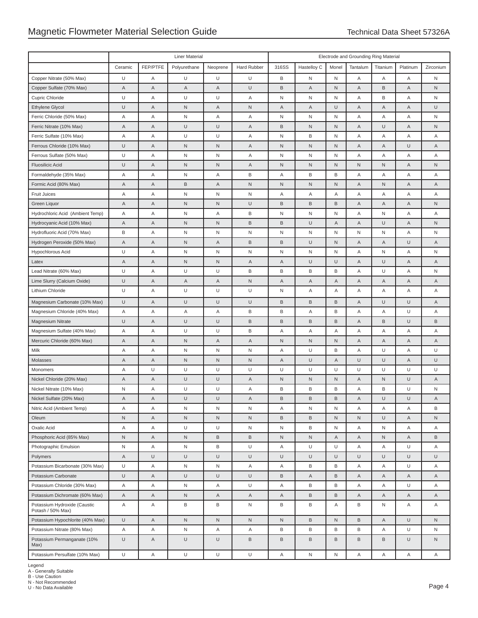|                                                   | <b>Liner Material</b> |             |              |              |              |              | Electrode and Grounding Ring Material |                |             |          |             |                |  |  |
|---------------------------------------------------|-----------------------|-------------|--------------|--------------|--------------|--------------|---------------------------------------|----------------|-------------|----------|-------------|----------------|--|--|
|                                                   | Ceramic               | FEP/PTFE    | Polyurethane | Neoprene     | Hard Rubber  | 316SS        | Hastelloy C                           | Monel          | Tantalum    | Titanium | Platinum    | Zirconium      |  |  |
| Copper Nitrate (50% Max)                          | U                     | Α           | U            | U            | U            | В            | N                                     | $\mathsf{N}$   | Α           | Α        | Α           | N              |  |  |
| Copper Sulfate (70% Max)                          | A                     | Α           | A            | A            | $\cup$       | B            | A                                     | $\mathsf N$    | A           | B        | Α           | N              |  |  |
| Cupric Chloride                                   | U                     | Α           | U            | U            | Α            | N            | N                                     | ${\sf N}$      | Α           | В        | Α           | N              |  |  |
| Ethylene Glycol                                   | U                     | Α           | $\sf N$      | A            | ${\sf N}$    | Α            | Α                                     | U              | A           | A        | Α           | U              |  |  |
| Ferric Chloride (50% Max)                         | Α                     | Α           | N            | Α            | Α            | N            | N                                     | N              | Α           | Α        | Α           | N              |  |  |
| Ferric Nitrate (10% Max)                          | Α                     | Α           | $\cup$       | U            | Α            | B            | ${\sf N}$                             | N              | Α           | U        | Α           | $\sf N$        |  |  |
| Ferric Sulfate (10% Max)                          | Α                     | Α           | U            | U            | Α            | N            | B                                     | N              | Α           | Α        | Α           | Α              |  |  |
| Ferrous Chloride (10% Max)                        | U                     | $\mathsf A$ | $\sf N$      | N            | Α            | N            | ${\sf N}$                             | $\mathsf N$    | A           | A        | U           | $\overline{A}$ |  |  |
| Ferrous Sulfate (50% Max)                         | U                     | Α           | $\mathsf N$  | N            | Α            | N            | ${\sf N}$                             | N              | Α           | Α        | Α           | Α              |  |  |
| <b>Fluosilicic Acid</b>                           | U                     | $\mathsf A$ | $\hbox{N}$   | N            | Α            | N            | ${\sf N}$                             | $\mathsf N$    | $\mathsf N$ | N        | Α           | $\mathsf N$    |  |  |
| Formaldehyde (35% Max)                            | Α                     | Α           | $\sf N$      | Α            | B            | Α            | B                                     | В              | Α           | Α        | Α           | Α              |  |  |
| Formic Acid (80% Max)                             | Α                     | $\mathsf A$ | B            | A            | ${\sf N}$    | N            | ${\sf N}$                             | $\mathsf N$    | A           | N        | Α           | Α              |  |  |
| <b>Fruit Juices</b>                               | Α                     | Α           | $\mathsf N$  | N            | ${\sf N}$    | Α            | Α                                     | Α              | Α           | Α        | Α           | Α              |  |  |
| Green Liquor                                      | A                     | Α           | N            | N            | $\cup$       | B            | B                                     | B              | A           | A        | A           | $\mathsf N$    |  |  |
| Hydrochloric Acid (Ambient Temp)                  | Α                     | Α           | $\mathsf N$  | Α            | B            | N            | ${\sf N}$                             | N              | Α           | N        | Α           | Α              |  |  |
| Hydrocyanic Acid (10% Max)                        | $\overline{A}$        | $\mathsf A$ | $\sf N$      | N            | $\mathsf B$  | B            | $\cup$                                | Α              | A           | U        | $\mathsf A$ | $\sf N$        |  |  |
| Hydrofluoric Acid (70% Max)                       | В                     | Α           | $\mathsf N$  | N            | $\mathsf{N}$ | N            | N                                     | N              | N           | N        | Α           | N              |  |  |
| Hydrogen Peroxide (50% Max)                       | A                     | Α           | $\sf N$      | A            | $\mathsf B$  | B            | $\cup$                                | ${\sf N}$      | A           | Α        | U           | Α              |  |  |
| Hypochlorous Acid                                 | U                     | Α           | $\mathsf N$  | N            | ${\sf N}$    | N            | ${\sf N}$                             | ${\sf N}$      | Α           | N        | Α           | N              |  |  |
| Latex                                             | Α                     | Α           | $\sf N$      | N            | Α            | Α            | $\cup$                                | U              | A           | U        | Α           | Α              |  |  |
| Lead Nitrate (60% Max)                            | U                     | Α           | U            | U            | B            | В            | B                                     | B              | Α           | U        | Α           | N              |  |  |
| Lime Slurry (Calcium Oxide)                       | U                     | Α           | Α            | A            | ${\sf N}$    | Α            | Α                                     | Α              | Α           | A        | Α           | Α              |  |  |
| Lithium Chloride                                  | U                     | Α           | U            | U            | U            | N            | Α                                     | Α              | Α           | Α        | Α           | Α              |  |  |
| Magnesium Carbonate (10% Max)                     | U                     | Α           | $\cup$       | $\cup$       | $\cup$       | B            | B                                     | B              | Α           | U        | U           | A              |  |  |
| Magnesium Chloride (40% Max)                      | Α                     | Α           | Α            | Α            | B            | B            | Α                                     | B              | Α           | Α        | $\cup$      | Α              |  |  |
| Magnesium Nitrate                                 | U                     | $\mathsf A$ | $\cup$       | U            | $\mathsf B$  | B            | $\,$ B                                | B              | A           | B        | U           | $\mathsf B$    |  |  |
| Magnesium Sulfate (40% Max)                       | Α                     | Α           | U            | U            | B            | Α            | Α                                     | Α              | Α           | Α        | Α           | Α              |  |  |
| Mercuric Chloride (60% Max)                       | A                     | Α           | $\sf N$      | A            | Α            | N            | ${\sf N}$                             | ${\sf N}$      | A           | Α        | Α           | A              |  |  |
| Milk                                              | Α                     | Α           | N            | N            | N            | Α            | U                                     | В              | Α           | U        | Α           | U              |  |  |
| Molasses                                          | Α                     | Α           | $\mathsf N$  | $\mathsf{N}$ | ${\sf N}$    | Α            | $\cup$                                | Α              | U           | U        | Α           | $\cup$         |  |  |
| Monomers                                          | Α                     | U           | U            | U            | U            | U            | U                                     | U              | U           | U        | U           | U              |  |  |
| Nickel Chloride (20% Max)                         | Α                     | Α           | $\cup$       | $\cup$       | Α            | N            | ${\sf N}$                             | N              | Α           | N        | $\cup$      | Α              |  |  |
| Nickel Nitrate (10% Max)                          | N                     | Α           | U            | U            | Α            | В            | B                                     | B              | Α           | В        | U           | $\mathsf N$    |  |  |
| Nickel Sulfate (20% Max)                          | Α                     | A           | U            | U            | A            | B            | B                                     | B              | A           | U        | $\cup$      | $\overline{A}$ |  |  |
| Nitric Acid (Ambient Temp)                        | Α                     | Α           | $\sf N$      | $\sf N$      | N            | Α            | ${\sf N}$                             | N              | Α           | Α        | Α           | В              |  |  |
| Oleum                                             | N                     | $\mathsf A$ | N            | ${\sf N}$    | ${\sf N}$    | B            | B                                     | ${\sf N}$      | ${\sf N}$   | U        | Α           | $\hbox{N}$     |  |  |
| Oxalic Acid                                       | Α                     | Α           | U            | U            | $\mathsf{N}$ | N            | В                                     | N              | Α           | N        | Α           | A              |  |  |
| Phosphoric Acid (85% Max)                         | $\mathsf{N}$          | $\mathsf A$ | N            | B            | $\,$ B       | N            | N                                     | $\overline{A}$ | Α           | N        | Α           | B              |  |  |
| Photographic Emulsion                             | N                     | Α           | N            | B            | U            | Α            | U                                     | U              | Α           | Α        | U           | Α              |  |  |
| Polymers                                          | A                     | U           | $\cup$       | U            | $\cup$       | U            | $\cup$                                | $\cup$         | U           | U        | U           | U              |  |  |
| Potassium Bicarbonate (30% Max)                   | U                     | Α           | N            | N            | Α            | Α            | B                                     | В              | Α           | Α        | U           | Α              |  |  |
| Potassium Carbonate                               | U                     | $\mathsf A$ | $\cup$       | U            | $\cup$       | B            | $\mathsf A$                           | $\,$ B         | $\mathsf A$ | A        | Α           | $\mathsf A$    |  |  |
| Potassium Chloride (30% Max)                      | Α                     | Α           | N            | Α            | U            | Α            | B                                     | B              | Α           | Α        | U           | Α              |  |  |
| Potassium Dichromate (60% Max)                    | Α                     | $\mathsf A$ | N            | A            | A            | Α            | B                                     | $\,$ B         | Α           | Α        | Α           | Α              |  |  |
| Potassium Hydroxide (Caustic<br>Potash / 50% Max) | Α                     | Α           | B            | B            | $\mathsf{N}$ | В            | B                                     | Α              | В           | N        | Α           | Α              |  |  |
| Potassium Hypochlorite (40% Max)                  | U                     | $\mathsf A$ | $\hbox{N}$   | ${\sf N}$    | ${\sf N}$    | $\mathsf{N}$ | B                                     | ${\sf N}$      | $\mathsf B$ | Α        | $\cup$      | $\mathsf N$    |  |  |
| Potassium Nitrate (80% Max)                       | Α                     | Α           | N            | A            | Α            | B            | B                                     | B              | B           | Α        | U           | N              |  |  |
| Potassium Permanganate (10%<br>Max)               | U                     | $\mathsf A$ | U            | $\cup$       | B            | B            | $\, {\sf B}$                          | $\,$ B         | $\mathsf B$ | B        | $\cup$      | $\mathsf{N}$   |  |  |
| Potassium Persulfate (10% Max)                    | U                     | Α           | U            | $\cup$       | $\cup$       | Α            | N                                     | ${\sf N}$      | Α           | Α        | Α           | A              |  |  |

Legend A - Generally Suitable B - Use Caution N - Not Recommended U - No Data Available